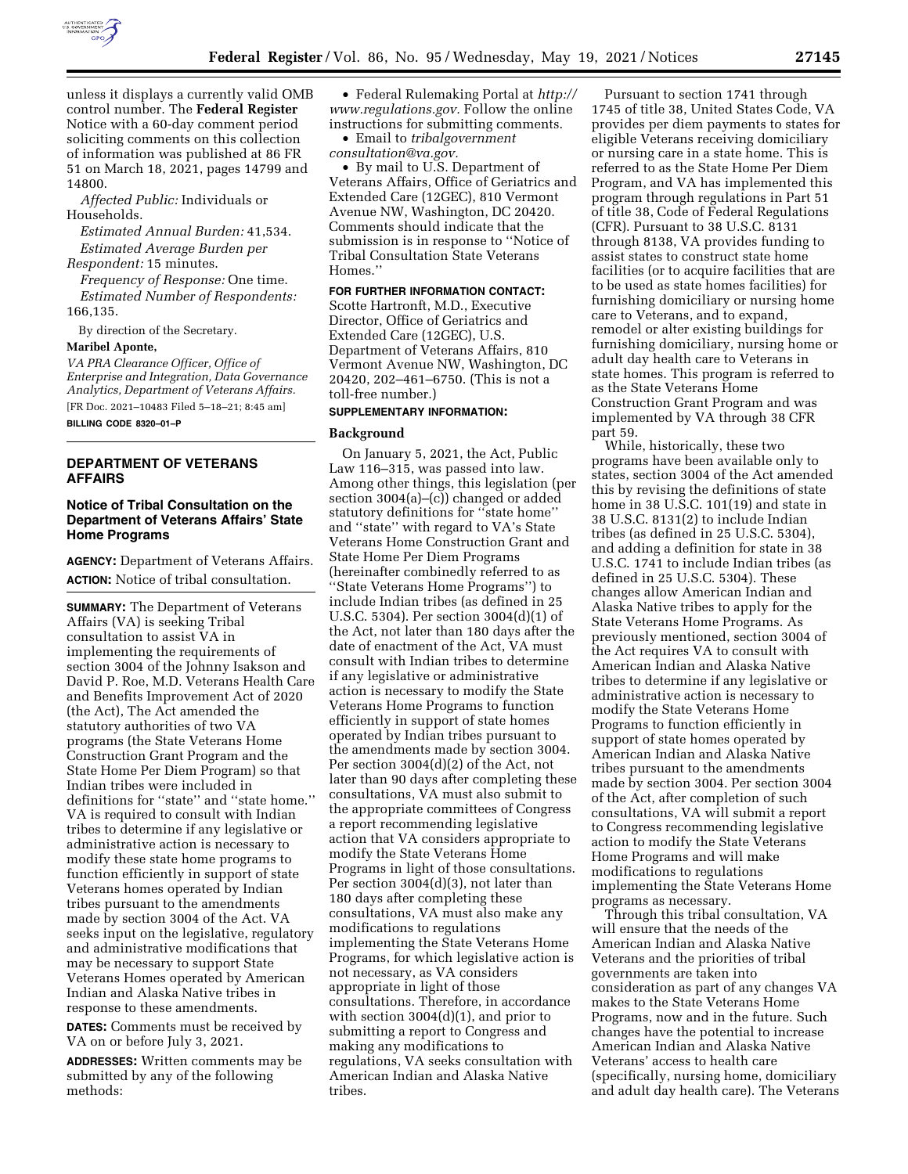

unless it displays a currently valid OMB control number. The **Federal Register**  Notice with a 60-day comment period soliciting comments on this collection of information was published at 86 FR 51 on March 18, 2021, pages 14799 and 14800.

*Affected Public:* Individuals or Households.

*Estimated Annual Burden:* 41,534. *Estimated Average Burden per* 

*Respondent:* 15 minutes.

*Frequency of Response:* One time. *Estimated Number of Respondents:* 

166,135.

By direction of the Secretary.

#### **Maribel Aponte,**

*VA PRA Clearance Officer, Office of Enterprise and Integration, Data Governance Analytics, Department of Veterans Affairs.*  [FR Doc. 2021–10483 Filed 5–18–21; 8:45 am]

**BILLING CODE 8320–01–P** 

## **DEPARTMENT OF VETERANS AFFAIRS**

## **Notice of Tribal Consultation on the Department of Veterans Affairs' State Home Programs**

**AGENCY:** Department of Veterans Affairs. **ACTION:** Notice of tribal consultation.

**SUMMARY:** The Department of Veterans Affairs (VA) is seeking Tribal consultation to assist VA in implementing the requirements of section 3004 of the Johnny Isakson and David P. Roe, M.D. Veterans Health Care and Benefits Improvement Act of 2020 (the Act), The Act amended the statutory authorities of two VA programs (the State Veterans Home Construction Grant Program and the State Home Per Diem Program) so that Indian tribes were included in definitions for ''state'' and ''state home.'' VA is required to consult with Indian tribes to determine if any legislative or administrative action is necessary to modify these state home programs to function efficiently in support of state Veterans homes operated by Indian tribes pursuant to the amendments made by section 3004 of the Act. VA seeks input on the legislative, regulatory and administrative modifications that may be necessary to support State Veterans Homes operated by American Indian and Alaska Native tribes in response to these amendments.

**DATES:** Comments must be received by VA on or before July 3, 2021.

**ADDRESSES:** Written comments may be submitted by any of the following methods:

• Federal Rulemaking Portal at *[http://](http://www.regulations.gov)  [www.regulations.gov.](http://www.regulations.gov)* Follow the online instructions for submitting comments.

• Email to *[tribalgovernment](mailto:tribalgovernmentconsultation@va.gov) [consultation@va.gov.](mailto:tribalgovernmentconsultation@va.gov)* 

• By mail to U.S. Department of Veterans Affairs, Office of Geriatrics and Extended Care (12GEC), 810 Vermont Avenue NW, Washington, DC 20420. Comments should indicate that the submission is in response to ''Notice of Tribal Consultation State Veterans Homes.''

# **FOR FURTHER INFORMATION CONTACT:**

Scotte Hartronft, M.D., Executive Director, Office of Geriatrics and Extended Care (12GEC), U.S. Department of Veterans Affairs, 810 Vermont Avenue NW, Washington, DC 20420, 202–461–6750. (This is not a toll-free number.)

## **SUPPLEMENTARY INFORMATION:**

#### **Background**

On January 5, 2021, the Act, Public Law 116–315, was passed into law. Among other things, this legislation (per section 3004(a)–(c)) changed or added statutory definitions for ''state home'' and ''state'' with regard to VA's State Veterans Home Construction Grant and State Home Per Diem Programs (hereinafter combinedly referred to as ''State Veterans Home Programs'') to include Indian tribes (as defined in 25 U.S.C. 5304). Per section 3004(d)(1) of the Act, not later than 180 days after the date of enactment of the Act, VA must consult with Indian tribes to determine if any legislative or administrative action is necessary to modify the State Veterans Home Programs to function efficiently in support of state homes operated by Indian tribes pursuant to the amendments made by section 3004. Per section 3004(d)(2) of the Act, not later than 90 days after completing these consultations, VA must also submit to the appropriate committees of Congress a report recommending legislative action that VA considers appropriate to modify the State Veterans Home Programs in light of those consultations. Per section 3004(d)(3), not later than 180 days after completing these consultations, VA must also make any modifications to regulations implementing the State Veterans Home Programs, for which legislative action is not necessary, as VA considers appropriate in light of those consultations. Therefore, in accordance with section 3004(d)(1), and prior to submitting a report to Congress and making any modifications to regulations, VA seeks consultation with American Indian and Alaska Native tribes.

Pursuant to section 1741 through 1745 of title 38, United States Code, VA provides per diem payments to states for eligible Veterans receiving domiciliary or nursing care in a state home. This is referred to as the State Home Per Diem Program, and VA has implemented this program through regulations in Part 51 of title 38, Code of Federal Regulations (CFR). Pursuant to 38 U.S.C. 8131 through 8138, VA provides funding to assist states to construct state home facilities (or to acquire facilities that are to be used as state homes facilities) for furnishing domiciliary or nursing home care to Veterans, and to expand, remodel or alter existing buildings for furnishing domiciliary, nursing home or adult day health care to Veterans in state homes. This program is referred to as the State Veterans Home Construction Grant Program and was implemented by VA through 38 CFR part 59.

While, historically, these two programs have been available only to states, section 3004 of the Act amended this by revising the definitions of state home in 38 U.S.C. 101(19) and state in 38 U.S.C. 8131(2) to include Indian tribes (as defined in 25 U.S.C. 5304), and adding a definition for state in 38 U.S.C. 1741 to include Indian tribes (as defined in 25 U.S.C. 5304). These changes allow American Indian and Alaska Native tribes to apply for the State Veterans Home Programs. As previously mentioned, section 3004 of the Act requires VA to consult with American Indian and Alaska Native tribes to determine if any legislative or administrative action is necessary to modify the State Veterans Home Programs to function efficiently in support of state homes operated by American Indian and Alaska Native tribes pursuant to the amendments made by section 3004. Per section 3004 of the Act, after completion of such consultations, VA will submit a report to Congress recommending legislative action to modify the State Veterans Home Programs and will make modifications to regulations implementing the State Veterans Home programs as necessary.

Through this tribal consultation, VA will ensure that the needs of the American Indian and Alaska Native Veterans and the priorities of tribal governments are taken into consideration as part of any changes VA makes to the State Veterans Home Programs, now and in the future. Such changes have the potential to increase American Indian and Alaska Native Veterans' access to health care (specifically, nursing home, domiciliary and adult day health care). The Veterans